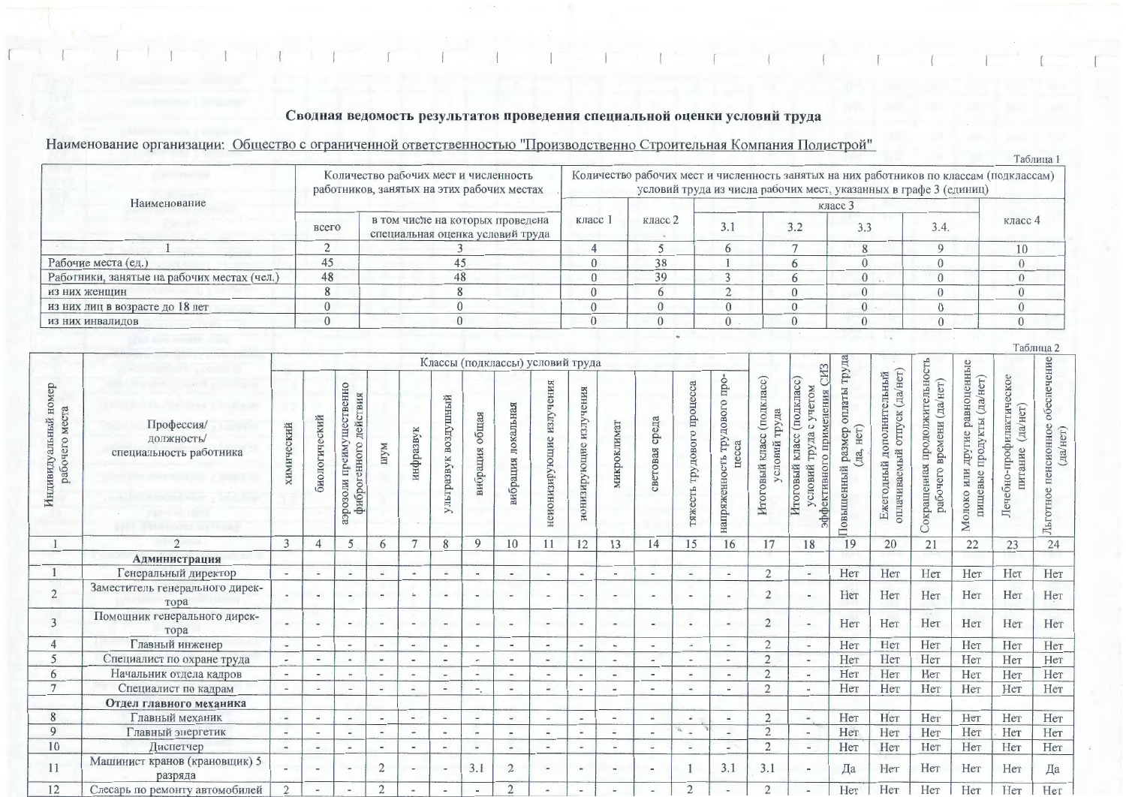## Сводная ведомость результатов проведения специальной оценки условий труда

## Наименование организации: Общество с ограниченной ответственностью "Производственно Строительная Компания Полистрой"

|                                             |       |                                                                                     |                                                                                                                                                              |         |  |  |   |  | T annititia |  |  |  |  |
|---------------------------------------------|-------|-------------------------------------------------------------------------------------|--------------------------------------------------------------------------------------------------------------------------------------------------------------|---------|--|--|---|--|-------------|--|--|--|--|
| a collection and                            |       | Количество рабочих мест и численность<br>работников, занятых на этих рабочих местах | Количество рабочих мест и численность занятых на них работников по классам (подклассам)<br>условий труда из числа рабочих мест, указанных в графе 3 (единиц) |         |  |  |   |  |             |  |  |  |  |
| Наименование                                |       |                                                                                     | класс 1                                                                                                                                                      |         |  |  |   |  |             |  |  |  |  |
|                                             | всего | в том числе на которых проведена<br>специальная оценка условий труда                |                                                                                                                                                              | класс 2 |  |  |   |  | класс 4     |  |  |  |  |
|                                             |       |                                                                                     |                                                                                                                                                              |         |  |  |   |  |             |  |  |  |  |
| Рабочие места (ед.)                         | 45    | 43                                                                                  |                                                                                                                                                              | 38      |  |  |   |  |             |  |  |  |  |
| Работники, занятые на рабочих местах (чел.) | 48    | 48                                                                                  |                                                                                                                                                              | 39      |  |  |   |  |             |  |  |  |  |
| из них женщин                               |       |                                                                                     |                                                                                                                                                              |         |  |  |   |  |             |  |  |  |  |
| из них лиц в возрасте до 18 лет             |       |                                                                                     |                                                                                                                                                              |         |  |  | ∩ |  |             |  |  |  |  |
| из них инвалидов                            |       |                                                                                     |                                                                                                                                                              |         |  |  |   |  |             |  |  |  |  |

|                                           |                                                     |                          |                          |                                                         |                          |                          |                             |                          |                                  |                                 |                           |                          |                          |                               |                                                 |                                               |                                                                                                               |                                                    |                                                                |                                                                            |                                                                           |                                                 | Таблица 2                                      |
|-------------------------------------------|-----------------------------------------------------|--------------------------|--------------------------|---------------------------------------------------------|--------------------------|--------------------------|-----------------------------|--------------------------|----------------------------------|---------------------------------|---------------------------|--------------------------|--------------------------|-------------------------------|-------------------------------------------------|-----------------------------------------------|---------------------------------------------------------------------------------------------------------------|----------------------------------------------------|----------------------------------------------------------------|----------------------------------------------------------------------------|---------------------------------------------------------------------------|-------------------------------------------------|------------------------------------------------|
|                                           |                                                     |                          |                          |                                                         |                          |                          |                             |                          | Классы (подклассы) условий труда |                                 |                           |                          |                          |                               |                                                 |                                               |                                                                                                               |                                                    |                                                                |                                                                            |                                                                           |                                                 |                                                |
| Индивидуальный номер<br>места<br>рабочего | Профессия/<br>должность/<br>специальность работника | химический               | биологический            | преимущественно<br>действия<br>фиброгенного<br>ипогофсе | иАш                      | инфразвук                | воздушный<br>К<br>ультразву | вибрация общая           | локальная<br>вибрация            | иения<br>излу<br>неионизирующие | излучения<br>ионизирующие | микроклимат              | среда<br>световая        | трудового процесса<br>гяжесть | rpo-<br>трудового<br>cca<br>напряженность<br>He | Итоговый класс (подкласс)<br>труда<br>условий | CH <sub>3</sub><br>(подкласс)<br>с учетом<br>эффективного применения<br>труда<br>класс<br>Итоговый<br>условий | труда<br>оплаты<br>HeT)<br>Повышенный размер<br>да | (да/нет)<br>дополнительный<br>оплачиваемый отпуск<br>Ежегодный | продолжительность<br>HCT<br>(Aa)<br>емени<br>ВD<br>Сокращенная<br>рабочего | равноценные<br>(да/нет)<br>продукты<br>другие<br>ИЛИ<br>пищевые<br>Молоко | Лечебно-профилактическое<br>(да/нет)<br>питание | обеспечение<br>Льготное пенсионное<br>(да/нет) |
|                                           | $\mathfrak{D}$                                      | 3                        | $\Delta$                 | 5                                                       | 6                        | $\tau$                   | 8                           | 9                        | 10                               | 11                              | 12                        | 13                       | 14                       | 15                            | 16                                              | 17                                            | 18                                                                                                            | 19                                                 | 20                                                             | 21                                                                         | 22                                                                        | 23                                              | 24                                             |
|                                           | <b>Администрация</b>                                |                          |                          |                                                         |                          |                          |                             |                          |                                  |                                 |                           |                          |                          |                               |                                                 |                                               |                                                                                                               |                                                    |                                                                |                                                                            |                                                                           |                                                 |                                                |
|                                           | Генеральный директор                                | $\sim$                   | $\blacksquare$           | $\overline{\phantom{a}}$                                | $\overline{\phantom{a}}$ | $\blacksquare$           | $\equiv$                    | $\overline{\phantom{m}}$ | $\blacksquare$                   | $\overline{\phantom{a}}$        | $\overline{\phantom{a}}$  |                          |                          | $\overline{a}$                | $\sim$                                          | $\overline{2}$                                |                                                                                                               | Her                                                | Her                                                            | Нет                                                                        | Her                                                                       | Her                                             | Her                                            |
| $\overline{c}$                            | Заместитель генерального дирек-<br>тора             | $\overline{\phantom{a}}$ | $\sim$                   |                                                         |                          | $\sim$                   |                             |                          | $\overline{a}$                   |                                 | $\blacksquare$            |                          |                          | $\blacksquare$                | $\,$ $\,$                                       | $\overline{2}$                                |                                                                                                               | Her                                                | Her                                                            | Her                                                                        | Her                                                                       | Her                                             | Her                                            |
| 3                                         | Помощник генерального дирек-<br>тора                |                          | $\overline{\phantom{a}}$ |                                                         | $\overline{\phantom{a}}$ | $\overline{\phantom{a}}$ | $\ddot{\phantom{1}}$        | $\overline{\phantom{a}}$ | $\overline{a}$                   | $\overline{\phantom{a}}$        | $\overline{\phantom{a}}$  |                          |                          | $\overline{\phantom{a}}$      | $\overline{\phantom{a}}$                        | $\overline{2}$                                | $\overline{\phantom{a}}$                                                                                      | Her                                                | Her                                                            | Her                                                                        | Her                                                                       | Her                                             | Her                                            |
| $\overline{4}$                            | Главный инженер                                     | $\overline{\phantom{a}}$ | $\overline{\phantom{a}}$ |                                                         | $\overline{\phantom{a}}$ | $\tilde{\phantom{a}}$    | $\qquad \qquad$             | $\overline{\phantom{a}}$ | $\overline{\phantom{a}}$         | $\overline{\phantom{a}}$        | $\overline{\phantom{a}}$  | $\rightarrow$            | $\overline{\phantom{a}}$ | $\bullet\bullet$              | $\overline{\phantom{a}}$                        | $\overline{2}$                                | ÷.                                                                                                            | Her                                                | Her                                                            | Her                                                                        | Her                                                                       | Her                                             | Her                                            |
| 5                                         | Специалист по охране труда                          | Ξ.                       | $\overline{\phantom{a}}$ | $\sim$                                                  | $\sim$                   | $\tilde{\phantom{a}}$    |                             | ۰                        | $\overline{\phantom{a}}$         | ٠                               | $\overline{\phantom{a}}$  |                          |                          |                               | $\overline{\phantom{a}}$                        | $\overline{2}$                                |                                                                                                               | Her                                                | Her                                                            | Нет                                                                        | Her                                                                       | Her                                             | Her                                            |
| 6                                         | Начальник отдела кадров                             | $\overline{\phantom{a}}$ | $\overline{\phantom{a}}$ | $\overline{\phantom{a}}$                                |                          | $\overline{\phantom{a}}$ | $\overline{\phantom{a}}$    | $\overline{\phantom{a}}$ | $\overline{\phantom{a}}$         | $\blacksquare$                  | $\overline{\phantom{a}}$  |                          |                          | $\dot{m}$                     | $\overline{\phantom{a}}$                        | $\overline{2}$                                |                                                                                                               | Her                                                | Her                                                            | Her                                                                        | Her                                                                       | Her                                             | Her                                            |
| $\tau$                                    | Специалист по кадрам                                | $\overline{\phantom{a}}$ |                          |                                                         | $\overline{a}$           | $\overline{a}$           |                             | Ξ.                       | $\overline{a}$                   | $\overline{\phantom{a}}$        | $\overline{\phantom{a}}$  |                          |                          |                               | $\blacksquare$                                  | $\overline{2}$                                |                                                                                                               | Her                                                | Her                                                            | Her                                                                        | Her                                                                       | Her                                             | Her                                            |
|                                           | Отдел главного механика                             |                          |                          |                                                         |                          |                          |                             |                          |                                  |                                 |                           |                          |                          |                               |                                                 |                                               |                                                                                                               |                                                    |                                                                |                                                                            |                                                                           |                                                 |                                                |
| 8                                         | Главный механик                                     | $\sim$                   | $\blacksquare$           | $\overline{\phantom{a}}$                                | $\sim$                   | $\sim$                   | $\sim$                      | $\overline{\phantom{a}}$ | $\overline{\phantom{a}}$         | $\overline{\phantom{a}}$        | $\overline{\phantom{a}}$  | $\overline{\phantom{a}}$ | $\sim$                   | $\bullet$                     | $\sim$                                          | $\overline{2}$                                | $\overline{\phantom{a}}$                                                                                      | Her                                                | Her                                                            | Нет                                                                        | Her                                                                       | Her                                             | Her                                            |
| 9                                         | Главный энергетик                                   | $\overline{\phantom{a}}$ | $\blacksquare$           |                                                         |                          | $\sim$                   |                             | $\overline{\phantom{a}}$ | $\overline{\phantom{a}}$         | $\overline{\phantom{a}}$        | $\overline{\phantom{a}}$  |                          |                          |                               | $\overline{\phantom{a}}$                        | $\overline{2}$                                | $\blacksquare$                                                                                                | Her                                                | Her                                                            | Her                                                                        | Her                                                                       | Her                                             | Her                                            |
| 10                                        | Диспетчер                                           | $\hat{\phantom{a}}$      | $\overline{\phantom{a}}$ | $\qquad \qquad \blacksquare$                            | $\overline{\phantom{a}}$ | $\overline{\phantom{a}}$ |                             | $\overline{\phantom{a}}$ | $\overline{\phantom{a}}$         | $\overline{\phantom{a}}$        | $\overline{\phantom{a}}$  | $\overline{\phantom{a}}$ | $\overline{\phantom{a}}$ | $\overline{\phantom{a}}$      | $\sim$                                          | $\overline{2}$                                |                                                                                                               | Her                                                | Her                                                            | Her                                                                        | Her                                                                       | Her                                             | Her                                            |
| 11                                        | Машинист кранов (крановщик) 5<br>разряда            |                          | $\blacksquare$           |                                                         | 2                        | $\sim$                   | $\overline{a}$              | 3.1                      | 2                                | $\overline{a}$                  | $\overline{\phantom{a}}$  |                          |                          |                               | 3.1                                             | 3.1                                           | $\,$                                                                                                          | Да                                                 | Her                                                            | Her                                                                        | Her                                                                       | Her                                             | Да                                             |
| 12                                        | Слесарь по ремонту автомобилей                      | $\mathfrak{D}$           |                          |                                                         | $\mathcal{D}$            |                          |                             |                          | $\gamma$                         |                                 |                           |                          |                          | $\bigcap$                     |                                                 | $\bigcirc$                                    |                                                                                                               | Her                                                | Her                                                            | Her                                                                        | Her                                                                       | Her                                             | Her                                            |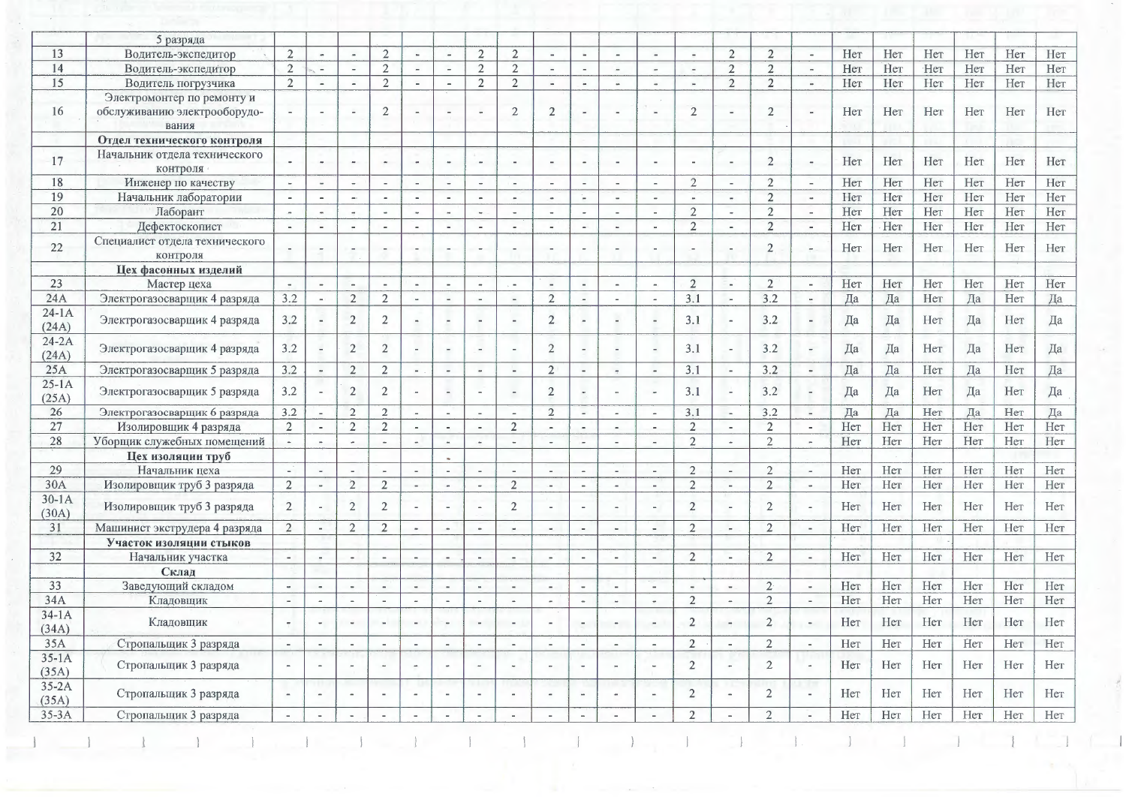|                    | 5 разряда                                                           |                       |                          |                          |                          |                          |                          |                          |                          |                          |                          |                          |                          |                          |                          |                |                |     |     |     |     |     |     |
|--------------------|---------------------------------------------------------------------|-----------------------|--------------------------|--------------------------|--------------------------|--------------------------|--------------------------|--------------------------|--------------------------|--------------------------|--------------------------|--------------------------|--------------------------|--------------------------|--------------------------|----------------|----------------|-----|-----|-----|-----|-----|-----|
| 13                 | Водитель-экспедитор                                                 | $\overline{2}$        | $\blacksquare$           | $\omega$                 | $\overline{2}$           |                          |                          | $\overline{2}$           | $\overline{2}$           |                          | ٠                        | $\overline{a}$           | $\overline{\phantom{a}}$ | $\overline{\phantom{a}}$ | 2                        | $\overline{2}$ |                | Her | Her | Her | Нет | Her | Нет |
| 14                 | Водитель-экспедитор                                                 | $\overline{2}$        | $\overline{\phantom{a}}$ | $\overline{\phantom{a}}$ | $\overline{2}$           |                          |                          | $\overline{2}$           | $\overline{2}$           | $\blacksquare$           | $\blacksquare$           | $\blacksquare$           | $\frac{1}{2}$            | $\blacksquare$           | $\overline{2}$           | $\overline{2}$ | $\blacksquare$ | Her | Her | Нет | Нет | Her | Нет |
| 15                 | Водитель погрузчика                                                 | $\overline{2}$        | $\sim$                   | $\blacksquare$           | $\overline{2}$           | $\sim$                   | $\sim$                   | $\overline{2}$           | $\overline{2}$           | $\omega$                 | $\sim$                   | $\sim$                   | $\overline{\phantom{a}}$ | $\overline{\phantom{a}}$ | $\overline{2}$           | $\overline{2}$ | $\rightarrow$  | Her | Her | Her | Her | Her | Нет |
| 16                 | Электромонтер по ремонту и<br>обслуживанию электрооборудо-<br>вания |                       | $\overline{\phantom{a}}$ | $\overline{\phantom{a}}$ | $\overline{2}$           |                          | $\overline{\phantom{0}}$ | $\sim$                   | $\mathbf{2}$             | $\overline{2}$           |                          |                          |                          | $\overline{2}$           |                          | $\overline{2}$ |                | Нет | Her | Her | Her | Her | Her |
|                    | Отдел технического контроля                                         |                       |                          |                          |                          |                          |                          |                          |                          |                          |                          |                          |                          |                          |                          |                |                |     |     |     |     |     |     |
| 17                 | Начальник отдела технического<br>контроля                           |                       | $\sim$                   | $\bullet$                | $\sim$                   | $\bullet$                | $\bullet$                | $\,$ $\,$                | $\overline{\phantom{a}}$ | $\overline{\phantom{a}}$ | $\overline{\phantom{a}}$ | $\overline{\phantom{a}}$ | $\blacksquare$           | $\overline{\phantom{a}}$ | $\overline{\phantom{a}}$ | $\overline{2}$ | $\rightarrow$  | Her | Her | Her | Her | Her | Her |
| 18                 | Инженер по качеству                                                 | $\sim$                | $\sim$                   | $\sim$                   | $\sim$                   | $\sim$                   | $\qquad \qquad -$        | $\overline{\phantom{a}}$ | $\sim$                   | $\sim$                   | $\sim$                   | $\sim$                   | $\overline{\phantom{a}}$ | $\overline{2}$           | $\sim$                   | $\overline{2}$ | $\overline{a}$ | Her | Her | Нет | Her | Her | Нет |
| 19                 | Начальник лаборатории                                               |                       | $\overline{\phantom{a}}$ | $\sim$                   | $\overline{\phantom{a}}$ |                          |                          |                          |                          | $\dot{m}$                | w                        | $\overline{\phantom{a}}$ | $\overline{\phantom{a}}$ |                          | $\sim$                   | $\overline{2}$ | $\cdot$        | Her | Her | Her | Her | Her | Her |
| 20                 | Лаборант                                                            | $\sim$                | $\blacksquare$           | $\omega$                 | $\sim$                   | $\omega$                 | $\sim$                   | $\sim$                   | $\sim$                   | $\sim$                   | $\sim$                   | $\sim$                   | ÷,                       | $\overline{2}$           | $\sim$                   | $\overline{2}$ | $\sim$         | Her | Her | Her | Her | Her | Her |
| 21                 | Дефектоскопист                                                      | $\sim$                | $\sim$                   | $\sim$                   | $\sim$                   | $\sim$                   | $\sim$                   | $\sim$                   | $\sim$                   | $\overline{a}$           | $\sim$ –                 | $\mathbf{r}_\mathrm{c}$  | $\sim$                   | $\overline{2}$           | $\overline{\phantom{a}}$ | $\overline{2}$ | $\sim$         | Her | Нет | Her | Her | Her | Нет |
| 22                 | Специалист отдела технического<br>контроля                          |                       |                          | $\sim$                   | $\sim$                   | $\blacksquare$           |                          | $\tilde{\phantom{a}}$    |                          | - -                      | $\sim$                   |                          |                          | $\sim$                   | $\blacksquare$           | $\overline{2}$ |                | Her | Her | Her | Her | Her | Her |
|                    | Цех фасонных изделий                                                |                       |                          |                          |                          |                          |                          |                          |                          |                          |                          |                          |                          |                          |                          |                |                |     |     |     |     |     |     |
| 23                 | Мастер цеха                                                         | $\sim$                | $\overline{\phantom{a}}$ | $\overline{\phantom{a}}$ | $\sim$                   | $\blacksquare$           |                          | $\overline{\phantom{a}}$ | $\overline{\phantom{a}}$ | $\overline{\phantom{a}}$ | $\overline{\phantom{a}}$ | $\overline{\phantom{a}}$ | $\overline{\phantom{a}}$ | $\overline{2}$           | $\sim$                   | $\overline{2}$ |                | Нет | Her | Нет | Her | Her | Her |
| 24A                | Электрогазосварщик 4 разряда                                        | 3.2                   | $\sim$ 1                 | $\overline{2}$           | $\overline{2}$           | $\blacksquare$           | $\rightarrow$            | $\sim$                   | $\blacksquare$           | $\overline{2}$           | $\overline{\phantom{a}}$ | $\sim$                   | $\sim$                   | 3.1                      | $\sim$                   | 3.2            | $\sim$         | Да  | Да  | Her | Да  | Her | Да  |
| $24-1A$<br>(24A)   | Электрогазосварщик 4 разряда                                        | 3.2                   | $\sim$                   | $\overline{2}$           | $\overline{2}$           |                          |                          |                          |                          | $\overline{2}$           | $\sim$                   |                          |                          | 3.1                      | $\blacksquare$           | 3.2            |                | Да  | Да  | Her | Да  | Her | Да  |
| $24-2A$<br>(24A)   | Электрогазосварщик 4 разряда                                        | 3.2                   | $\overline{\phantom{a}}$ | $\overline{2}$           | $\overline{2}$           |                          |                          | $\sim$                   | $\sim$                   | $\overline{2}$           |                          | $\sim$                   | $\sim$                   | 3.1                      | $\overline{\phantom{a}}$ | 3.2            |                | Да  | Да  | Her | Да  | Her | Да  |
| 25A                | Электрогазосварщик 5 разряда                                        | 3.2                   | $\omega$                 | $\overline{2}$           | $\overline{2}$           | $\overline{\phantom{a}}$ |                          | $\rightarrow$            | $\sim$                   | $\overline{2}$           | $\sim$                   | $\overline{\phantom{a}}$ | $\overline{a}$           | 3.1                      | $\sim$                   | 3.2            | $\omega$       | Да  | Да  | Нет | Да  | Нет | Да  |
| $25 - 1A$<br>(25A) | Электрогазосварщик 5 разряда                                        | 3.2                   | $\sim$                   | $\overline{2}$           | $\overline{2}$           |                          |                          |                          | $\overline{\phantom{a}}$ | $\overline{2}$           |                          |                          |                          | 3.1                      | <b>.</b>                 | 3.2            |                | Да  | Да  | Her | Да  | Her | Да  |
| 26                 | Электрогазосварщик 6 разряда                                        | 3.2                   | $\sim$                   | $\overline{2}$           | $\overline{2}$           | $\overline{\phantom{a}}$ | $\sim$                   | $\sim$                   | $\sim$                   | $\overline{2}$           | $\sim$                   | $\sim$                   | $\sim$                   | 3.1                      | $\sim$                   | 3.2            | $\sim$         | Да  | Да  | Нет | Да  | Нет | Да  |
| 27                 | Изолировщик 4 разряда                                               | $\overline{2}$        | $\sim$                   | $\overline{2}$           | $\overline{2}$           | $\overline{\phantom{a}}$ |                          | $\sim$                   | $\overline{2}$           | $\overline{a}$           | $\sim$                   | $\sim$                   | $\sim$                   | $\overline{2}$           | $\sim$                   | $\overline{2}$ | $\sim$         | Her | Her | Her | Her | Her | Her |
| 28                 | Уборщик служебных помещений                                         |                       |                          | ×                        | $\,$ $\,$                |                          |                          | ×.                       | $\blacksquare$           | $\sim$                   | $\sim$                   | $\sim$                   | $\blacksquare$           | $\overline{2}$           |                          | $\overline{2}$ |                | Her | Her | Her | Her | Her | Нет |
|                    | Цех изоляции труб                                                   |                       |                          |                          |                          |                          |                          |                          |                          |                          |                          |                          |                          |                          |                          |                |                |     |     |     |     |     |     |
| 29                 | Начальник цеха                                                      |                       |                          | $\sim$                   | $\sim$                   | $\blacksquare$           |                          |                          |                          | $\blacksquare$           | $\overline{\phantom{a}}$ | $\overline{a}$           | $\sim$                   | $\overline{2}$           | $\sim$                   | $\overline{2}$ | $\rightarrow$  | Нет | Her | Her | Her | Her | Her |
| 30A                | Изолировщик труб 3 разряда                                          | $\overline{2}$        | $\sim$                   | $\overline{2}$           | $\overline{2}$           | $\sim$                   | $\overline{a}$           | $\overline{a}$           | $\overline{2}$           | $\sim$                   | $\sim$                   | $\sim$                   | $\overline{a}$           | $\overline{2}$           | $\sim$                   | $\overline{2}$ | $\rightarrow$  | Her | Her | Her | Her | Her | Her |
| $30-1A$<br>(30A)   | Изолировщик труб 3 разряда                                          | $\overline{2}$        |                          | $\overline{2}$           | $\overline{2}$           |                          |                          |                          | $\overline{2}$           |                          | $\overline{\phantom{a}}$ | $\equiv$                 | $\overline{a}$           | $\overline{2}$           | $\overline{\phantom{a}}$ | $\overline{2}$ |                | Her | Her | Her | Her | Her | Her |
| 31                 | Машинист экструдера 4 разряда                                       | $\overline{2}$        | $\sim$                   | $\overline{2}$           | $\overline{2}$           | $\bar{p}$                | $\,$                     | $\sim$                   | $\sim$                   | $\omega$                 | $\sim$                   | $\sim$                   | $\overline{\phantom{a}}$ | $\overline{2}$           | $\sim$                   | $\overline{2}$ | $\blacksquare$ | Her | Her | Нет | Her | Her | Her |
|                    | Участок изоляции стыков                                             |                       |                          |                          |                          |                          |                          |                          |                          |                          |                          |                          |                          |                          |                          |                |                |     |     |     |     |     |     |
| 32                 | Начальник участка                                                   | $\sim$                | $\sim$                   | $\sim$                   | $\sim$                   | $\sim$                   | $\sim$                   | ÷                        | $\sim$                   | $\sim$                   | $\sim$                   | $\sim$                   | $\sim$                   | $\overline{2}$           | ×.                       | $\overline{2}$ | $\sim$         | Her | Нет | Her | Her | Her | Her |
|                    | Склад                                                               |                       |                          |                          |                          |                          |                          |                          |                          |                          |                          |                          |                          |                          |                          |                |                |     |     |     |     |     |     |
| 33                 | Заведующий складом                                                  | $\omega$              |                          | $\bullet$                | $\sim$                   | $\blacksquare$           |                          | ×.                       | $\blacksquare$           | $\overline{\phantom{a}}$ | $\overline{\phantom{a}}$ | $\sim$                   | $\sim$                   | $\blacksquare$           | $\blacksquare$           | 2 <sup>1</sup> | $\omega$       | Her | Her | Her | Her | Her | Her |
| 34A                | Кладовщик                                                           | $\sim$                |                          | $\overline{\phantom{a}}$ | $\sim$                   | $\tilde{\phantom{a}}$    | $\overline{\phantom{a}}$ | $\blacksquare$           | $\blacksquare$           | $\tilde{\phantom{a}}$    | $\sim$                   | $\sim$                   | $\bullet$                | $\overline{2}$           | $\overline{\phantom{a}}$ | $\overline{2}$ | $\blacksquare$ | Her | Her | Her | Her | Her | Her |
| $34-1A$<br>(34A)   | Кладовщик                                                           | $\scriptstyle\bullet$ |                          | $\overline{\phantom{a}}$ | $\sim$                   | $\blacksquare$           |                          | $\blacksquare$           |                          | $\sim$                   | $\sim$                   |                          | $\overline{a}$           | $\overline{2}$           | $\qquad \qquad =$        | $\overline{2}$ |                | Her | Her | Her | Her | Her | Her |
| 35A                | Стропальщик 3 разряда                                               | $\sim$                | $\sim$                   | $\sim$                   | $\sim$                   | $\sim$                   |                          | $\overline{\phantom{a}}$ | $\sim$                   | $\overline{\phantom{a}}$ | $\sim$                   | $\,$ $\,$                | $\sim$                   | $\overline{2}$           | $\sim$                   | $\overline{2}$ |                | Her | Her | Нет | Her | Her | Нет |
| $35-1A$            |                                                                     |                       |                          |                          |                          |                          |                          |                          |                          |                          |                          |                          |                          | $\overline{2}$           |                          | $\overline{2}$ |                |     |     |     |     |     |     |
| (35A)<br>$35-2A$   | Стропальщик 3 разряда                                               | $\sim$                |                          |                          |                          |                          |                          |                          |                          |                          |                          |                          |                          |                          |                          |                |                | Her | Her | Her | Her | Her | Her |
| (35A)              | Стропальщик 3 разряда                                               | $\sim$                | $\overline{\phantom{a}}$ | $\sim$                   | $\sim$                   | $\sim$                   |                          |                          | $\sim$                   | $\sim$                   |                          | $\sim$                   | $\sim$                   | $\overline{2}$           |                          | $\overline{2}$ |                | Нет | Нет | Her | Her | Нет | Her |
| $35-3A$            | Стропальщик 3 разряда                                               | $\sim$                | $\sim$                   | $\sim$                   | $\sim$                   | $\sim$                   | $\sim$                   | $\sim$                   | $\sim$                   | $\sim$                   | $\sim$                   |                          |                          | $\overline{2}$           | $\sim$                   | $\overline{2}$ |                | Нет | Her | Нет | Her | Нет | Her |